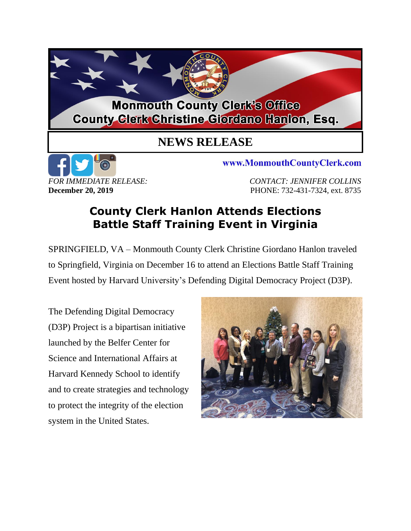## **Monmouth County Clerk's Office County Glerk Christine Giordano Hanlon, Esq.**

## **NEWS RELEASE**



www.MonmouthCountyClerk.com

*FOR IMMEDIATE RELEASE: CONTACT: JENNIFER COLLINS* **December 20, 2019 PHONE: 732-431-7324, ext. 8735** 

## **County Clerk Hanlon Attends Elections Battle Staff Training Event in Virginia**

SPRINGFIELD, VA – Monmouth County Clerk Christine Giordano Hanlon traveled to Springfield, Virginia on December 16 to attend an Elections Battle Staff Training Event hosted by Harvard University's Defending Digital Democracy Project (D3P).

The Defending Digital Democracy (D3P) Project is a bipartisan initiative launched by the Belfer Center for Science and International Affairs at Harvard Kennedy School to identify and to create strategies and technology to protect the integrity of the election system in the United States.

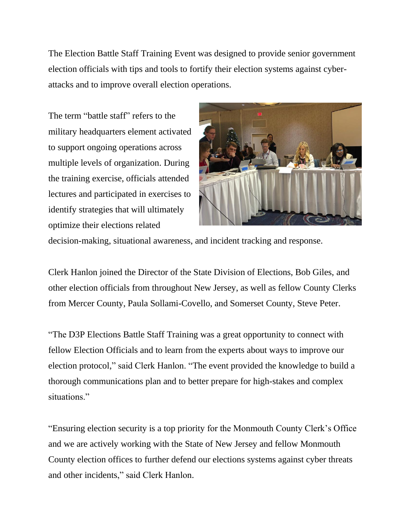The Election Battle Staff Training Event was designed to provide senior government election officials with tips and tools to fortify their election systems against cyberattacks and to improve overall election operations.

The term "battle staff" refers to the military headquarters element activated to support ongoing operations across multiple levels of organization. During the training exercise, officials attended lectures and participated in exercises to identify strategies that will ultimately optimize their elections related



decision-making, situational awareness, and incident tracking and response.

Clerk Hanlon joined the Director of the State Division of Elections, Bob Giles, and other election officials from throughout New Jersey, as well as fellow County Clerks from Mercer County, Paula Sollami-Covello, and Somerset County, Steve Peter.

"The D3P Elections Battle Staff Training was a great opportunity to connect with fellow Election Officials and to learn from the experts about ways to improve our election protocol," said Clerk Hanlon. "The event provided the knowledge to build a thorough communications plan and to better prepare for high-stakes and complex situations."

"Ensuring election security is a top priority for the Monmouth County Clerk's Office and we are actively working with the State of New Jersey and fellow Monmouth County election offices to further defend our elections systems against cyber threats and other incidents," said Clerk Hanlon.